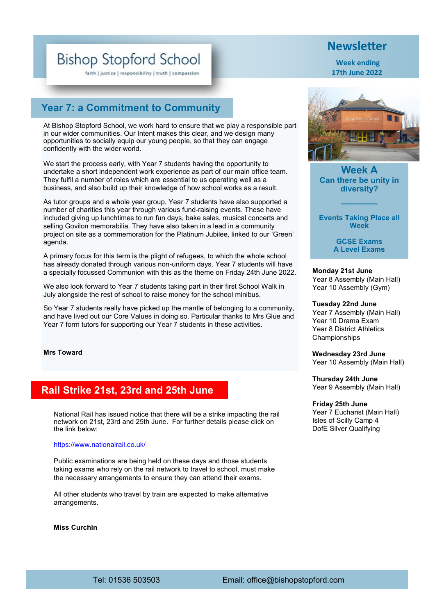# **Bishop Stopford School**

faith | justice | responsibility | truth | compassion

## **Year 7: a Commitment to Community**

At Bishop Stopford School, we work hard to ensure that we play a responsible part in our wider communities. Our Intent makes this clear, and we design many opportunities to socially equip our young people, so that they can engage confidently with the wider world.

We start the process early, with Year 7 students having the opportunity to undertake a short independent work experience as part of our main office team. They fulfil a number of roles which are essential to us operating well as a business, and also build up their knowledge of how school works as a result.

As tutor groups and a whole year group, Year 7 students have also supported a number of charities this year through various fund-raising events. These have included giving up lunchtimes to run fun days, bake sales, musical concerts and selling Govilon memorabilia. They have also taken in a lead in a community project on site as a commemoration for the Platinum Jubilee, linked to our 'Green' agenda.

A primary focus for this term is the plight of refugees, to which the whole school has already donated through various non-uniform days. Year 7 students will have a specially focussed Communion with this as the theme on Friday 24th June 2022.

We also look forward to Year 7 students taking part in their first School Walk in July alongside the rest of school to raise money for the school minibus.

So Year 7 students really have picked up the mantle of belonging to a community, and have lived out our Core Values in doing so. Particular thanks to Mrs Glue and Year 7 form tutors for supporting our Year 7 students in these activities.

#### **Mrs Toward**

## **Rail Strike 21st, 23rd and 25th June**

National Rail has issued notice that there will be a strike impacting the rail network on 21st, 23rd and 25th June. For further details please click on the link below:

#### [https://www.nationalrail.co.uk/](https://eur01.safelinks.protection.outlook.com/?url=https%3A%2F%2Fwww.nationalrail.co.uk%2F&data=05%7C01%7Cfmackness%40bishopstopford.com%7C29ab16e8ba5f4d87244d08da50400c93%7Cdfb84607f62648bbb289e9ffdd924070%7C0%7C0%7C637910533263893355%7CUnknown%7CTWFpbGZsb3)

Public examinations are being held on these days and those students taking exams who rely on the rail network to travel to school, must make the necessary arrangements to ensure they can attend their exams.

All other students who travel by train are expected to make alternative arrangements.

#### **Miss Curchin**



**Week A Can there be unity in diversity?**

**Events Taking Place all Week**

**—————**

**GCSE Exams A Level Exams**

**Monday 21st June**  Year 8 Assembly (Main Hall) Year 10 Assembly (Gym)

**Tuesday 22nd June**  Year 7 Assembly (Main Hall) Year 10 Drama Exam Year 8 District Athletics Championships

**Wednesday 23rd June** Year 10 Assembly (Main Hall)

**Thursday 24th June** Year 9 Assembly (Main Hall)

## **Friday 25th June**

Year 7 Eucharist (Main Hall) Isles of Scilly Camp 4 DofE Silver Qualifying

## **Newsletter**

**Week ending 17th June 2022**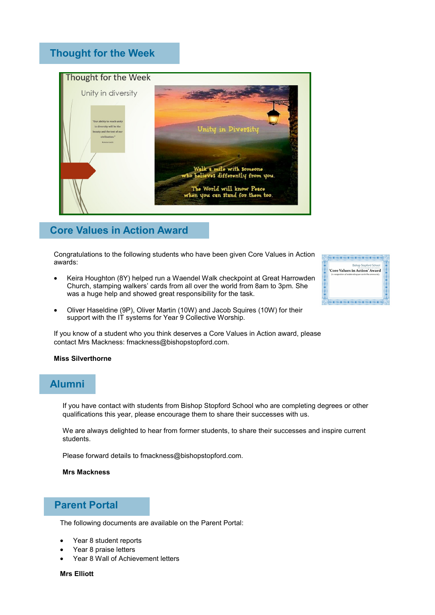## **Thought for the Week**



## **Core Values in Action Award**

Congratulations to the following students who have been given Core Values in Action awards:

• Keira Houghton (8Y) helped run a Waendel Walk checkpoint at Great Harrowden Church, stamping walkers' cards from all over the world from 8am to 3pm. She was a huge help and showed great responsibility for the task.



• Oliver Haseldine (9P), Oliver Martin (10W) and Jacob Squires (10W) for their support with the IT systems for Year 9 Collective Worship.

If you know of a student who you think deserves a Core Values in Action award, please contact Mrs Mackness: fmackness@bishopstopford.com.

#### **Miss Silverthorne**

## **Alumni**

If you have contact with students from Bishop Stopford School who are completing degrees or other qualifications this year, please encourage them to share their successes with us.

We are always delighted to hear from former students, to share their successes and inspire current students.

Please forward details to fmackness@bishopstopford.com.

#### **Mrs Mackness**

### **Parent Portal**

The following documents are available on the Parent Portal:

- Year 8 student reports
- Year 8 praise letters
- Year 8 Wall of Achievement letters

**Mrs Elliott**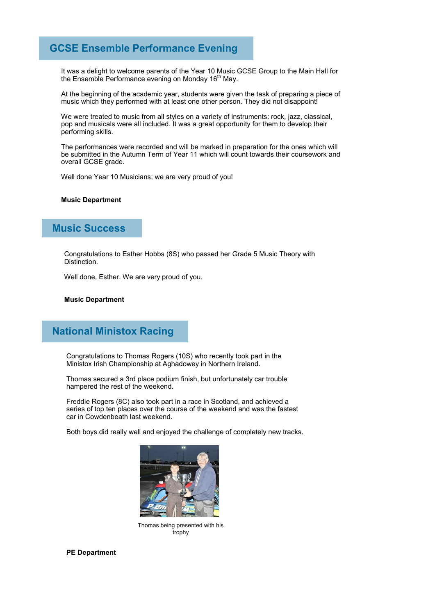## **GCSE Ensemble Performance Evening**

It was a delight to welcome parents of the Year 10 Music GCSE Group to the Main Hall for the Ensemble Performance evening on Monday 16<sup>th</sup> May.

At the beginning of the academic year, students were given the task of preparing a piece of music which they performed with at least one other person. They did not disappoint!

We were treated to music from all styles on a variety of instruments: rock, jazz, classical, pop and musicals were all included. It was a great opportunity for them to develop their performing skills.

The performances were recorded and will be marked in preparation for the ones which will be submitted in the Autumn Term of Year 11 which will count towards their coursework and overall GCSE grade.

Well done Year 10 Musicians; we are very proud of you!

#### **Music Department**

## **Music Success**

Congratulations to Esther Hobbs (8S) who passed her Grade 5 Music Theory with Distinction.

Well done, Esther. We are very proud of you.

#### **Music Department**

## **National Ministox Racing**

Congratulations to Thomas Rogers (10S) who recently took part in the Ministox Irish Championship at Aghadowey in Northern Ireland.

Thomas secured a 3rd place podium finish, but unfortunately car trouble hampered the rest of the weekend.

Freddie Rogers (8C) also took part in a race in Scotland, and achieved a series of top ten places over the course of the weekend and was the fastest car in Cowdenbeath last weekend.

Both boys did really well and enjoyed the challenge of completely new tracks.



Thomas being presented with his trophy

**PE Department**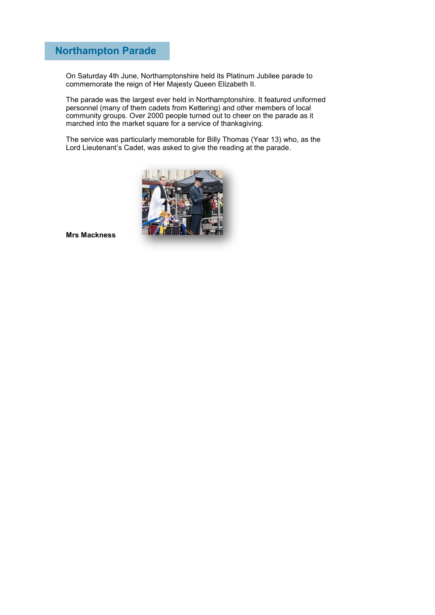## **Northampton Parade**

On Saturday 4th June, Northamptonshire held its Platinum Jubilee parade to commemorate the reign of Her Majesty Queen Elizabeth II.

The parade was the largest ever held in Northamptonshire. It featured uniformed personnel (many of them cadets from Kettering) and other members of local community groups. Over 2000 people turned out to cheer on the parade as it marched into the market square for a service of thanksgiving.

The service was particularly memorable for Billy Thomas (Year 13) who, as the Lord Lieutenant's Cadet, was asked to give the reading at the parade.



**Mrs Mackness**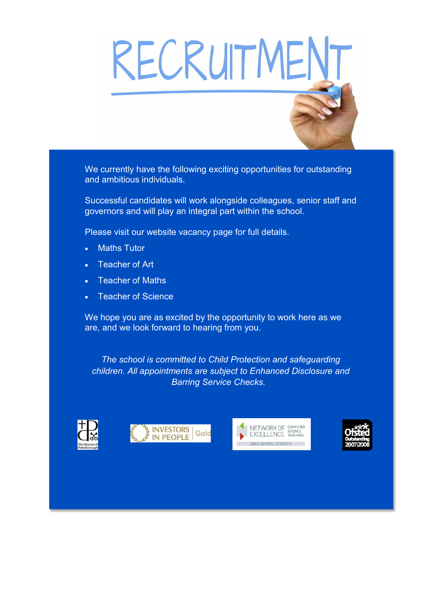# RECRUITMENT

We currently have the following exciting opportunities for outstanding and ambitious individuals.

Successful candidates will work alongside colleagues, senior staff and governors and will play an integral part within the school.

Please visit our website vacancy page for full details.

- **Maths Tutor**
- **Teacher of Art**
- **Teacher of Maths**
- **Teacher of Science**

We hope you are as excited by the opportunity to work here as we are, and we look forward to hearing from you.

*The school is committed to Child Protection and safeguarding children. All appointments are subject to Enhanced Disclosure and Barring Service Checks.*